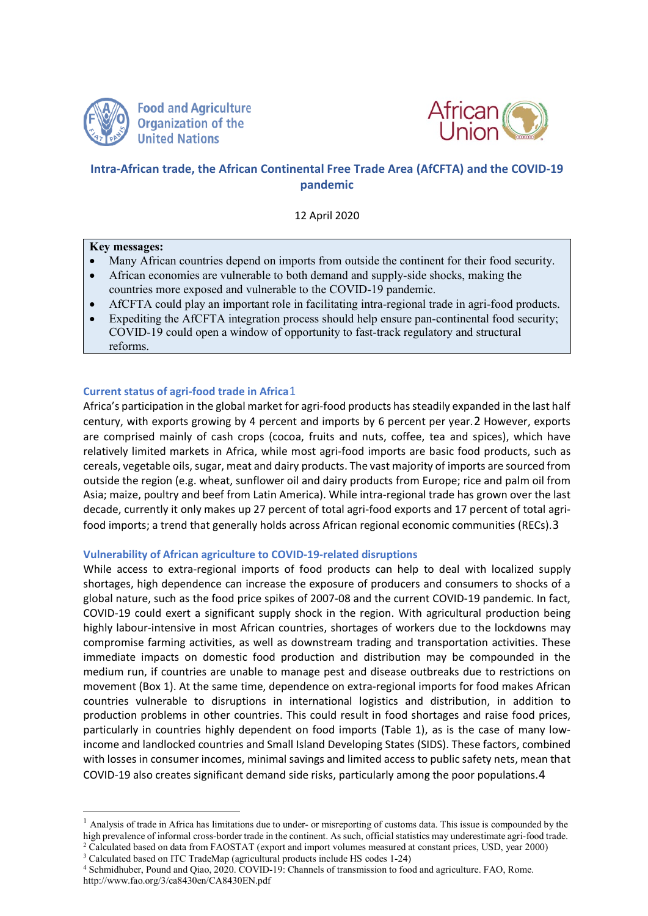

**Food and Agriculture Organization of the United Nations** 



# **Intra-African trade, the African Continental Free Trade Area (AfCFTA) and the COVID-19 pandemic**

12 April 2020

#### **Key messages:**

- Many African countries depend on imports from outside the continent for their food security.
- African economies are vulnerable to both demand and supply-side shocks, making the countries more exposed and vulnerable to the COVID-19 pandemic.
- AfCFTA could play an important role in facilitating intra-regional trade in agri-food products.
- Expediting the AfCFTA integration process should help ensure pan-continental food security; COVID-19 could open a window of opportunity to fast-track regulatory and structural reforms.

# **Current status of agri-food trade in Africa**[1](#page-0-0)

Africa's participation in the global market for agri-food products has steadily expanded in the last half century, with exports growing by 4 percent and imports by 6 percent per year.[2](#page-0-1) However, exports are comprised mainly of cash crops (cocoa, fruits and nuts, coffee, tea and spices), which have relatively limited markets in Africa, while most agri-food imports are basic food products, such as cereals, vegetable oils, sugar, meat and dairy products. The vast majority of imports are sourced from outside the region (e.g. wheat, sunflower oil and dairy products from Europe; rice and palm oil from Asia; maize, poultry and beef from Latin America). While intra-regional trade has grown over the last decade, currently it only makes up 27 percent of total agri-food exports and 17 percent of total agrifood imports; a trend that generally holds across African regional economic communities (RECs).[3](#page-0-2)

# **Vulnerability of African agriculture to COVID-19-related disruptions**

While access to extra-regional imports of food products can help to deal with localized supply shortages, high dependence can increase the exposure of producers and consumers to shocks of a global nature, such as the food price spikes of 2007-08 and the current COVID-19 pandemic. In fact, COVID-19 could exert a significant supply shock in the region. With agricultural production being highly labour-intensive in most African countries, shortages of workers due to the lockdowns may compromise farming activities, as well as downstream trading and transportation activities. These immediate impacts on domestic food production and distribution may be compounded in the medium run, if countries are unable to manage pest and disease outbreaks due to restrictions on movement (Box 1). At the same time, dependence on extra-regional imports for food makes African countries vulnerable to disruptions in international logistics and distribution, in addition to production problems in other countries. This could result in food shortages and raise food prices, particularly in countries highly dependent on food imports (Table 1), as is the case of many lowincome and landlocked countries and Small Island Developing States (SIDS). These factors, combined with losses in consumer incomes, minimal savings and limited access to public safety nets, mean that COVID-19 also creates significant demand side risks, particularly among the poor populations.[4](#page-0-3)

<span id="page-0-0"></span><sup>&</sup>lt;sup>1</sup> Analysis of trade in Africa has limitations due to under- or misreporting of customs data. This issue is compounded by the high prevalence of informal cross-border trade in the continent. As such, official statistics may underestimate agri-food trade.<br><sup>2</sup> Calculated based on data from FAOSTAT (export and import volumes measured at constant pri

<span id="page-0-1"></span><sup>3</sup> Calculated based on ITC TradeMap (agricultural products include HS codes 1-24)

<span id="page-0-3"></span><span id="page-0-2"></span><sup>4</sup> Schmidhuber, Pound and Qiao, 2020. COVID-19: Channels of transmission to food and agriculture. FAO, Rome. <http://www.fao.org/3/ca8430en/CA8430EN.pdf>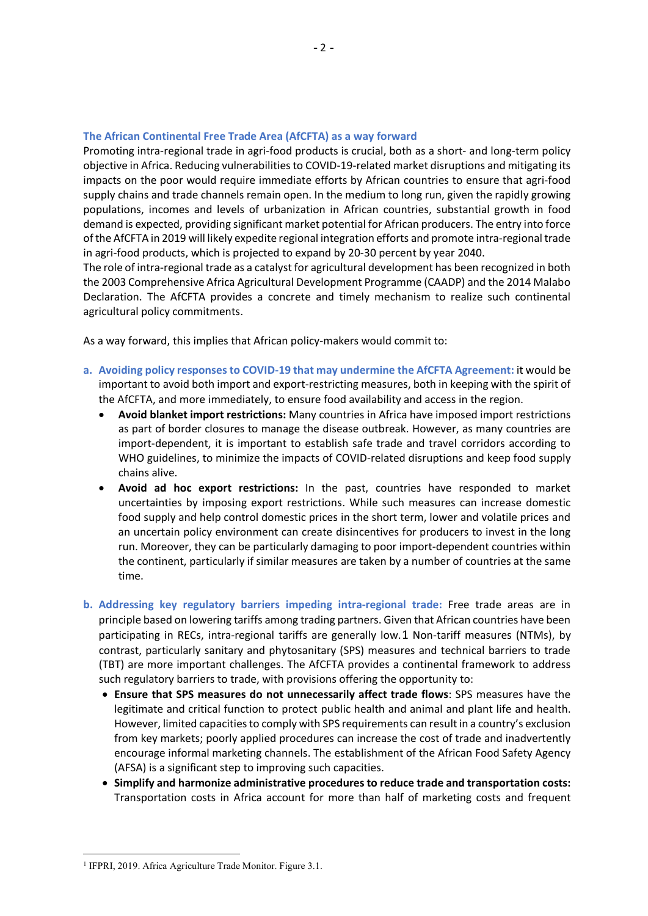#### **The African Continental Free Trade Area (AfCFTA) as a way forward**

Promoting intra-regional trade in agri-food products is crucial, both as a short- and long-term policy objective in Africa. Reducing vulnerabilities to COVID-19-related market disruptions and mitigating its impacts on the poor would require immediate efforts by African countries to ensure that agri-food supply chains and trade channels remain open. In the medium to long run, given the rapidly growing populations, incomes and levels of urbanization in African countries, substantial growth in food demand is expected, providing significant market potential for African producers. The entry into force of the AfCFTA in 2019 will likely expedite regional integration efforts and promote intra-regional trade in agri-food products, which is projected to expand by 20-30 percent by year 2040.

The role of intra-regional trade as a catalyst for agricultural development has been recognized in both the 2003 Comprehensive Africa Agricultural Development Programme (CAADP) and the 2014 Malabo Declaration. The AfCFTA provides a concrete and timely mechanism to realize such continental agricultural policy commitments.

As a way forward, this implies that African policy-makers would commit to:

- **a. Avoiding policy responses to COVID-19 that may undermine the AfCFTA Agreement:** it would be important to avoid both import and export-restricting measures, both in keeping with the spirit of the AfCFTA, and more immediately, to ensure food availability and access in the region.
	- **Avoid blanket import restrictions:** Many countries in Africa have imposed import restrictions as part of border closures to manage the disease outbreak. However, as many countries are import-dependent, it is important to establish safe trade and travel corridors according to WHO guidelines, to minimize the impacts of COVID-related disruptions and keep food supply chains alive.
	- **Avoid ad hoc export restrictions:** In the past, countries have responded to market uncertainties by imposing export restrictions. While such measures can increase domestic food supply and help control domestic prices in the short term, lower and volatile prices and an uncertain policy environment can create disincentives for producers to invest in the long run. Moreover, they can be particularly damaging to poor import-dependent countries within the continent, particularly if similar measures are taken by a number of countries at the same time.
- **b. Addressing key regulatory barriers impeding intra-regional trade:** Free trade areas are in principle based on lowering tariffs among trading partners. Given that African countries have been participating in RECs, intra-regional tariffs are generally low.[1](#page-1-0) Non-tariff measures (NTMs), by contrast, particularly sanitary and phytosanitary (SPS) measures and technical barriers to trade (TBT) are more important challenges. The AfCFTA provides a continental framework to address such regulatory barriers to trade, with provisions offering the opportunity to:
	- **Ensure that SPS measures do not unnecessarily affect trade flows**: SPS measures have the legitimate and critical function to protect public health and animal and plant life and health. However, limited capacities to comply with SPS requirements can result in a country's exclusion from key markets; poorly applied procedures can increase the cost of trade and inadvertently encourage informal marketing channels. The establishment of the African Food Safety Agency (AFSA) is a significant step to improving such capacities.
	- **Simplify and harmonize administrative procedures to reduce trade and transportation costs:**  Transportation costs in Africa account for more than half of marketing costs and frequent

<span id="page-1-0"></span><sup>&</sup>lt;sup>1</sup> IFPRI, 2019. Africa Agriculture Trade Monitor. Figure 3.1.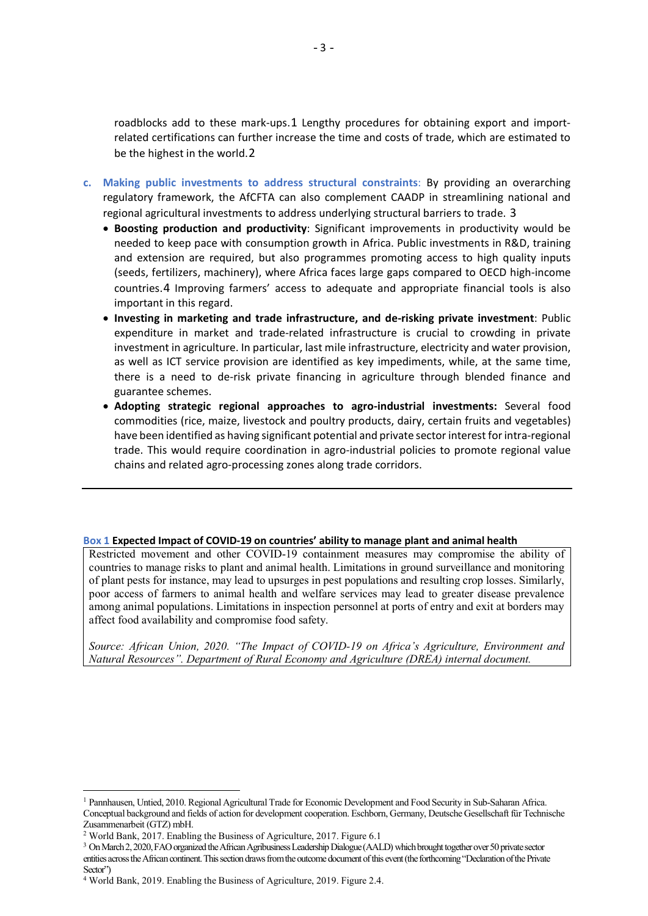roadblocks add to these mark-ups.[1](#page-2-0) Lengthy procedures for obtaining export and importrelated certifications can further increase the time and costs of trade, which are estimated to be the highest in the world.[2](#page-2-1)

- **c. Making public investments to address structural constraints**: By providing an overarching regulatory framework, the AfCFTA can also complement CAADP in streamlining national and regional agricultural investments to address underlying structural barriers to trade. [3](#page-2-2)
	- **Boosting production and productivity**: Significant improvements in productivity would be needed to keep pace with consumption growth in Africa. Public investments in R&D, training and extension are required, but also programmes promoting access to high quality inputs (seeds, fertilizers, machinery), where Africa faces large gaps compared to OECD high-income countries.[4](#page-2-3) Improving farmers' access to adequate and appropriate financial tools is also important in this regard.
	- **Investing in marketing and trade infrastructure, and de-risking private investment**: Public expenditure in market and trade-related infrastructure is crucial to crowding in private investment in agriculture. In particular, last mile infrastructure, electricity and water provision, as well as ICT service provision are identified as key impediments, while, at the same time, there is a need to de-risk private financing in agriculture through blended finance and guarantee schemes.
	- **Adopting strategic regional approaches to agro-industrial investments:** Several food commodities (rice, maize, livestock and poultry products, dairy, certain fruits and vegetables) have been identified as having significant potential and private sector interest for intra-regional trade. This would require coordination in agro-industrial policies to promote regional value chains and related agro-processing zones along trade corridors.

#### **Box 1 Expected Impact of COVID-19 on countries' ability to manage plant and animal health**

Restricted movement and other COVID-19 containment measures may compromise the ability of countries to manage risks to plant and animal health. Limitations in ground surveillance and monitoring of plant pests for instance, may lead to upsurges in pest populations and resulting crop losses. Similarly, poor access of farmers to animal health and welfare services may lead to greater disease prevalence among animal populations. Limitations in inspection personnel at ports of entry and exit at borders may affect food availability and compromise food safety.

*Source: African Union, 2020. "The Impact of COVID-19 on Africa's Agriculture, Environment and Natural Resources". Department of Rural Economy and Agriculture (DREA) internal document.*

<span id="page-2-0"></span> <sup>1</sup> Pannhausen, Untied, 2010. Regional Agricultural Trade for Economic Development and Food Security in Sub-Saharan Africa. Conceptual background and fields of action for development cooperation. Eschborn, Germany, Deutsche Gesellschaft für Technische Zusammenarbeit (GTZ) mbH.

<span id="page-2-1"></span><sup>2</sup> World Bank, 2017. Enabling the Business of Agriculture, 2017. Figure 6.1

<span id="page-2-2"></span><sup>3</sup> On March 2, 2020, FAO organized the African Agribusiness Leadership Dialogue (AALD) which brought together over 50 private sector entities across the African continent. This section draws from the outcome document of this event (the forthcoming "Declaration of the Private Sector")

<span id="page-2-3"></span><sup>4</sup> World Bank, 2019. Enabling the Business of Agriculture, 2019. Figure 2.4.